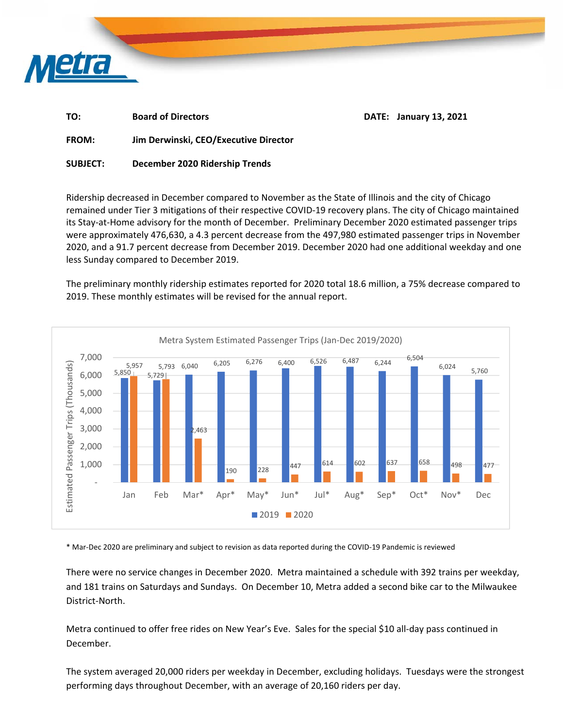

| TO:          | <b>Board of Directors</b>             | <b>DATE: January 13, 2021</b> |
|--------------|---------------------------------------|-------------------------------|
| <b>FROM:</b> | Jim Derwinski, CEO/Executive Director |                               |

**SUBJECT: December 2020 Ridership Trends** 

Ridership decreased in December compared to November as the State of Illinois and the city of Chicago remained under Tier 3 mitigations of their respective COVID‐19 recovery plans. The city of Chicago maintained its Stay‐at‐Home advisory for the month of December. Preliminary December 2020 estimated passenger trips were approximately 476,630, a 4.3 percent decrease from the 497,980 estimated passenger trips in November 2020, and a 91.7 percent decrease from December 2019. December 2020 had one additional weekday and one less Sunday compared to December 2019.

The preliminary monthly ridership estimates reported for 2020 total 18.6 million, a 75% decrease compared to 2019. These monthly estimates will be revised for the annual report.



\* Mar‐Dec 2020 are preliminary and subject to revision as data reported during the COVID‐19 Pandemic is reviewed

There were no service changes in December 2020. Metra maintained a schedule with 392 trains per weekday, and 181 trains on Saturdays and Sundays. On December 10, Metra added a second bike car to the Milwaukee District‐North.

Metra continued to offer free rides on New Year's Eve. Sales for the special \$10 all‐day pass continued in December.

The system averaged 20,000 riders per weekday in December, excluding holidays. Tuesdays were the strongest performing days throughout December, with an average of 20,160 riders per day.